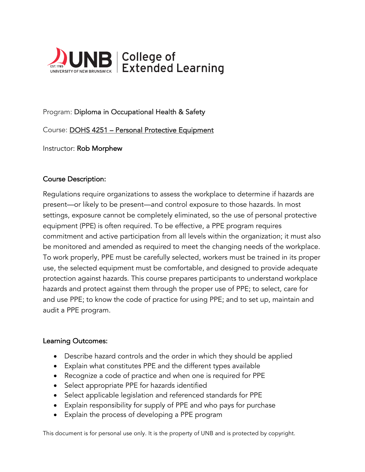

# Program: Diploma in Occupational Health & Safety

Course: DOHS 4251 – Personal Protective Equipment

Instructor: Rob Morphew

### Course Description:

Regulations require organizations to assess the workplace to determine if hazards are present—or likely to be present—and control exposure to those hazards. In most settings, exposure cannot be completely eliminated, so the use of personal protective equipment (PPE) is often required. To be effective, a PPE program requires commitment and active participation from all levels within the organization; it must also be monitored and amended as required to meet the changing needs of the workplace. To work properly, PPE must be carefully selected, workers must be trained in its proper use, the selected equipment must be comfortable, and designed to provide adequate protection against hazards. This course prepares participants to understand workplace hazards and protect against them through the proper use of PPE; to select, care for and use PPE; to know the code of practice for using PPE; and to set up, maintain and audit a PPE program.

#### Learning Outcomes:

- Describe hazard controls and the order in which they should be applied
- Explain what constitutes PPE and the different types available
- Recognize a code of practice and when one is required for PPE
- Select appropriate PPE for hazards identified
- Select applicable legislation and referenced standards for PPE
- Explain responsibility for supply of PPE and who pays for purchase
- Explain the process of developing a PPE program

This document is for personal use only. It is the property of UNB and is protected by copyright.